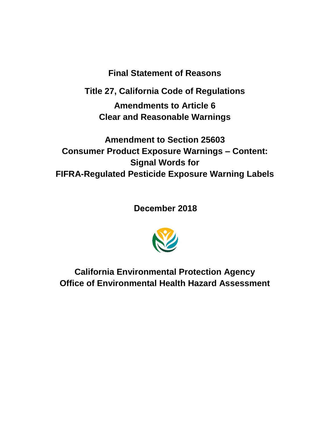**Final Statement of Reasons**

**Title 27, California Code of Regulations**

**Amendments to Article 6 Clear and Reasonable Warnings**

**Amendment to Section 25603 Consumer Product Exposure Warnings – Content: Signal Words for FIFRA-Regulated Pesticide Exposure Warning Labels** 

**December 2018** 



**California Environmental Protection Agency Office of Environmental Health Hazard Assessment**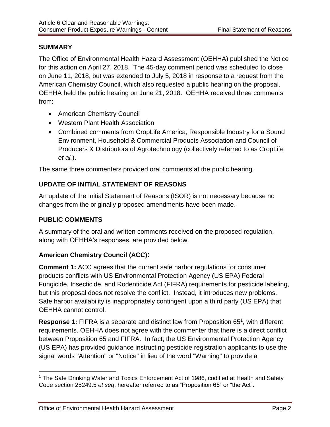### **SUMMARY**

The Office of Environmental Health Hazard Assessment (OEHHA) published the Notice for this action on April 27, 2018. The 45-day comment period was scheduled to close on June 11, 2018, but was extended to July 5, 2018 in response to a request from the American Chemistry Council, which also requested a public hearing on the proposal. OEHHA held the public hearing on June 21, 2018. OEHHA received three comments from:

- American Chemistry Council
- Western Plant Health Association
- Combined comments from CropLife America, Responsible Industry for a Sound Environment, Household & Commercial Products Association and Council of Producers & Distributors of Agrotechnology (collectively referred to as CropLife *et al.*).

The same three commenters provided oral comments at the public hearing.

# **UPDATE OF INITIAL STATEMENT OF REASONS**

An update of the Initial Statement of Reasons (ISOR) is not necessary because no changes from the originally proposed amendments have been made.

#### **PUBLIC COMMENTS**

A summary of the oral and written comments received on the proposed regulation, along with OEHHA's responses, are provided below.

### **American Chemistry Council (ACC):**

**Comment 1:** ACC agrees that the current safe harbor regulations for consumer products conflicts with US Environmental Protection Agency (US EPA) Federal Fungicide, Insecticide, and Rodenticide Act (FIFRA) requirements for pesticide labeling, but this proposal does not resolve the conflict. Instead, it introduces new problems. Safe harbor availability is inappropriately contingent upon a third party (US EPA) that OEHHA cannot control.

Response 1: FIFRA is a separate and distinct law from Proposition 65<sup>1</sup>, with different requirements. OEHHA does not agree with the commenter that there is a direct conflict between Proposition 65 and FIFRA. In fact, the US Environmental Protection Agency (US EPA) has provided guidance instructing pesticide registration applicants to use the signal words "Attention" or "Notice" in lieu of the word "Warning" to provide a

 $\overline{a}$ <sup>1</sup> The Safe Drinking Water and Toxics Enforcement Act of 1986, codified at Health and Safety Code section 25249.5 *et seq*, hereafter referred to as "Proposition 65" or "the Act".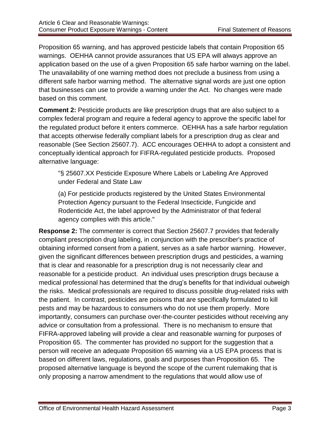Proposition 65 warning, and has approved pesticide labels that contain Proposition 65 warnings. OEHHA cannot provide assurances that US EPA will always approve an application based on the use of a given Proposition 65 safe harbor warning on the label. The unavailability of one warning method does not preclude a business from using a different safe harbor warning method. The alternative signal words are just one option that businesses can use to provide a warning under the Act.No changes were made based on this comment.

**Comment 2:** Pesticide products are like prescription drugs that are also subject to a complex federal program and require a federal agency to approve the specific label for the regulated product before it enters commerce. OEHHA has a safe harbor regulation that accepts otherwise federally compliant labels for a prescription drug as clear and reasonable (See Section 25607.7). ACC encourages OEHHA to adopt a consistent and conceptually identical approach for FIFRA-regulated pesticide products. Proposed alternative language:

"§ 25607.XX Pesticide Exposure Where Labels or Labeling Are Approved under Federal and State Law

(a) For pesticide products registered by the United States Environmental Protection Agency pursuant to the Federal Insecticide, Fungicide and Rodenticide Act, the label approved by the Administrator of that federal agency complies with this article."

**Response 2:** The commenter is correct that Section 25607.7 provides that federally compliant prescription drug labeling, in conjunction with the prescriber's practice of obtaining informed consent from a patient, serves as a safe harbor warning. However, given the significant differences between prescription drugs and pesticides, a warning that is clear and reasonable for a prescription drug is not necessarily clear and reasonable for a pesticide product. An individual uses prescription drugs because a medical professional has determined that the drug's benefits for that individual outweigh the risks. Medical professionals are required to discuss possible drug-related risks with the patient. In contrast, pesticides are poisons that are specifically formulated to kill pests and may be hazardous to consumers who do not use them properly. More importantly, consumers can purchase over-the-counter pesticides without receiving any advice or consultation from a professional. There is no mechanism to ensure that FIFRA-approved labeling will provide a clear and reasonable warning for purposes of Proposition 65. The commenter has provided no support for the suggestion that a person will receive an adequate Proposition 65 warning via a US EPA process that is based on different laws, regulations, goals and purposes than Proposition 65. The proposed alternative language is beyond the scope of the current rulemaking that is only proposing a narrow amendment to the regulations that would allow use of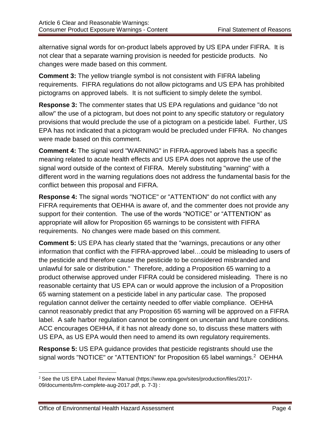alternative signal words for on-product labels approved by US EPA under FIFRA. It is not clear that a separate warning provision is needed for pesticide products. No changes were made based on this comment.

**Comment 3:** The yellow triangle symbol is not consistent with FIFRA labeling requirements. FIFRA regulations do not allow pictograms and US EPA has prohibited pictograms on approved labels. It is not sufficient to simply delete the symbol.

**Response 3:** The commenter states that US EPA regulations and guidance "do not allow" the use of a pictogram, but does not point to any specific statutory or regulatory provisions that would preclude the use of a pictogram on a pesticide label. Further, US EPA has not indicated that a pictogram would be precluded under FIFRA. No changes were made based on this comment.

**Comment 4:** The signal word "WARNING" in FIFRA-approved labels has a specific meaning related to acute health effects and US EPA does not approve the use of the signal word outside of the context of FIFRA. Merely substituting "warning" with a different word in the warning regulations does not address the fundamental basis for the conflict between this proposal and FIFRA.

**Response 4:** The signal words "NOTICE" or "ATTENTION" do not conflict with any FIFRA requirements that OEHHA is aware of, and the commenter does not provide any support for their contention. The use of the words "NOTICE" or "ATTENTION" as appropriate will allow for Proposition 65 warnings to be consistent with FIFRA requirements. No changes were made based on this comment.

**Comment 5:** US EPA has clearly stated that the "warnings, precautions or any other information that conflict with the FIFRA-approved label…could be misleading to users of the pesticide and therefore cause the pesticide to be considered misbranded and unlawful for sale or distribution." Therefore, adding a Proposition 65 warning to a product otherwise approved under FIFRA could be considered misleading. There is no reasonable certainty that US EPA can or would approve the inclusion of a Proposition 65 warning statement on a pesticide label in any particular case. The proposed regulation cannot deliver the certainty needed to offer viable compliance. OEHHA cannot reasonably predict that any Proposition 65 warning will be approved on a FIFRA label. A safe harbor regulation cannot be contingent on uncertain and future conditions. ACC encourages OEHHA, if it has not already done so, to discuss these matters with US EPA, as US EPA would then need to amend its own regulatory requirements.

**Response 5:** US EPA guidance provides that pesticide registrants should use the signal words "NOTICE" or "ATTENTION" for Proposition 65 label warnings.<sup>2</sup> OEHHA

l <sup>2</sup> See the US EPA Label Review Manual (https://www.epa.gov/sites/production/files/2017-09/documents/lrm-complete-aug-2017.pdf, p. 7-3) :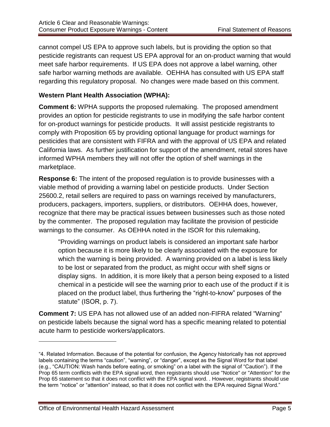cannot compel US EPA to approve such labels, but is providing the option so that pesticide registrants can request US EPA approval for an on-product warning that would meet safe harbor requirements. If US EPA does not approve a label warning, other safe harbor warning methods are available. OEHHA has consulted with US EPA staff regarding this regulatory proposal. No changes were made based on this comment.

### **Western Plant Health Association (WPHA):**

**Comment 6:** WPHA supports the proposed rulemaking. The proposed amendment provides an option for pesticide registrants to use in modifying the safe harbor content for on-product warnings for pesticide products. It will assist pesticide registrants to comply with Proposition 65 by providing optional language for product warnings for pesticides that are consistent with FIFRA and with the approval of US EPA and related California laws. As further justification for support of the amendment, retail stores have informed WPHA members they will not offer the option of shelf warnings in the marketplace.

**Response 6:** The intent of the proposed regulation is to provide businesses with a viable method of providing a warning label on pesticide products. Under Section 25600.2, retail sellers are required to pass on warnings received by manufacturers, producers, packagers, importers, suppliers, or distributors. OEHHA does, however, recognize that there may be practical issues between businesses such as those noted by the commenter. The proposed regulation may facilitate the provision of pesticide warnings to the consumer. As OEHHA noted in the ISOR for this rulemaking,

"Providing warnings on product labels is considered an important safe harbor option because it is more likely to be clearly associated with the exposure for which the warning is being provided. A warning provided on a label is less likely to be lost or separated from the product, as might occur with shelf signs or display signs. In addition, it is more likely that a person being exposed to a listed chemical in a pesticide will see the warning prior to each use of the product if it is placed on the product label, thus furthering the "right-to-know" purposes of the statute" (ISOR, p. 7).

**Comment 7:** US EPA has not allowed use of an added non-FIFRA related "Warning" on pesticide labels because the signal word has a specific meaning related to potential acute harm to pesticide workers/applicators.

 $\overline{\phantom{a}}$ 

<sup>&</sup>quot;4. Related Information. Because of the potential for confusion, the Agency historically has not approved labels containing the terms "caution", "warning", or "danger", except as the Signal Word for that label (e.g., "CAUTION: Wash hands before eating, or smoking" on a label with the signal of "Caution"). If the Prop 65 term conflicts with the EPA signal word, then registrants should use "Notice" or "Attention" for the Prop 65 statement so that it does not conflict with the EPA signal word. . However, registrants should use the term "notice" or "attention" instead, so that it does not conflict with the EPA required Signal Word."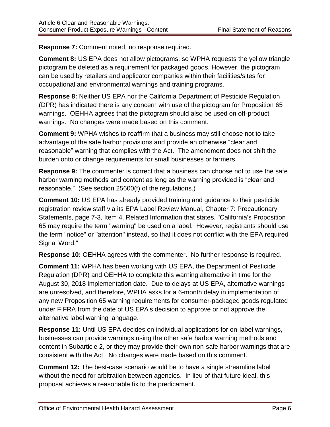**Response 7:** Comment noted, no response required.

**Comment 8:** US EPA does not allow pictograms, so WPHA requests the yellow triangle pictogram be deleted as a requirement for packaged goods. However, the pictogram can be used by retailers and applicator companies within their facilities/sites for occupational and environmental warnings and training programs.

**Response 8:** Neither US EPA nor the California Department of Pesticide Regulation (DPR) has indicated there is any concern with use of the pictogram for Proposition 65 warnings. OEHHA agrees that the pictogram should also be used on off-product warnings. No changes were made based on this comment.

**Comment 9:** WPHA wishes to reaffirm that a business may still choose not to take advantage of the safe harbor provisions and provide an otherwise "clear and reasonable" warning that complies with the Act. The amendment does not shift the burden onto or change requirements for small businesses or farmers.

**Response 9:** The commenter is correct that a business can choose not to use the safe harbor warning methods and content as long as the warning provided is "clear and reasonable." (See section 25600(f) of the regulations.)

**Comment 10:** US EPA has already provided training and guidance to their pesticide registration review staff via its EPA Label Review Manual, Chapter 7: Precautionary Statements, page 7-3, Item 4. Related Information that states, "California's Proposition 65 may require the term "warning" be used on a label. However, registrants should use the term "notice" or "attention" instead, so that it does not conflict with the EPA required Signal Word."

**Response 10:** OEHHA agrees with the commenter. No further response is required.

**Comment 11:** WPHA has been working with US EPA, the Department of Pesticide Regulation (DPR) and OEHHA to complete this warning alternative in time for the August 30, 2018 implementation date. Due to delays at US EPA, alternative warnings are unresolved, and therefore, WPHA asks for a 6-month delay in implementation of any new Proposition 65 warning requirements for consumer-packaged goods regulated under FIFRA from the date of US EPA's decision to approve or not approve the alternative label warning language.

**Response 11:** Until US EPA decides on individual applications for on-label warnings, businesses can provide warnings using the other safe harbor warning methods and content in Subarticle 2, or they may provide their own non-safe harbor warnings that are consistent with the Act. No changes were made based on this comment.

**Comment 12:** The best-case scenario would be to have a single streamline label without the need for arbitration between agencies. In lieu of that future ideal, this proposal achieves a reasonable fix to the predicament.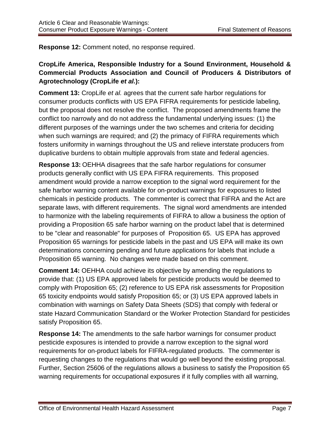**Response 12:** Comment noted, no response required.

# **CropLife America, Responsible Industry for a Sound Environment, Household & Commercial Products Association and Council of Producers & Distributors of Agrotechnology (CropLife** *et al.***):**

**Comment 13:** CropLife *et al.* agrees that the current safe harbor regulations for consumer products conflicts with US EPA FIFRA requirements for pesticide labeling, but the proposal does not resolve the conflict. The proposed amendments frame the conflict too narrowly and do not address the fundamental underlying issues: (1) the different purposes of the warnings under the two schemes and criteria for deciding when such warnings are required; and (2) the primacy of FIFRA requirements which fosters uniformity in warnings throughout the US and relieve interstate producers from duplicative burdens to obtain multiple approvals from state and federal agencies.

**Response 13:** OEHHA disagrees that the safe harbor regulations for consumer products generally conflict with US EPA FIFRA requirements. This proposed amendment would provide a narrow exception to the signal word requirement for the safe harbor warning content available for on-product warnings for exposures to listed chemicals in pesticide products. The commenter is correct that FIFRA and the Act are separate laws, with different requirements. The signal word amendments are intended to harmonize with the labeling requirements of FIFRA to allow a business the option of providing a Proposition 65 safe harbor warning on the product label that is determined to be "clear and reasonable" for purposes of Proposition 65. US EPA has approved Proposition 65 warnings for pesticide labels in the past and US EPA will make its own determinations concerning pending and future applications for labels that include a Proposition 65 warning. No changes were made based on this comment.

**Comment 14:** OEHHA could achieve its objective by amending the regulations to provide that: (1) US EPA approved labels for pesticide products would be deemed to comply with Proposition 65; (2) reference to US EPA risk assessments for Proposition 65 toxicity endpoints would satisfy Proposition 65; or (3) US EPA approved labels in combination with warnings on Safety Data Sheets (SDS) that comply with federal or state Hazard Communication Standard or the Worker Protection Standard for pesticides satisfy Proposition 65.

**Response 14:** The amendments to the safe harbor warnings for consumer product pesticide exposures is intended to provide a narrow exception to the signal word requirements for on-product labels for FIFRA-regulated products. The commenter is requesting changes to the regulations that would go well beyond the existing proposal. Further, Section 25606 of the regulations allows a business to satisfy the Proposition 65 warning requirements for occupational exposures if it fully complies with all warning,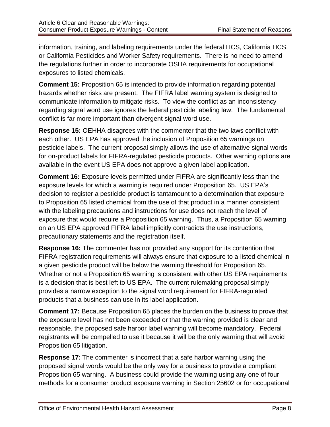information, training, and labeling requirements under the federal HCS, California HCS, or California Pesticides and Worker Safety requirements. There is no need to amend the regulations further in order to incorporate OSHA requirements for occupational exposures to listed chemicals.

**Comment 15:** Proposition 65 is intended to provide information regarding potential hazards whether risks are present. The FIFRA label warning system is designed to communicate information to mitigate risks. To view the conflict as an inconsistency regarding signal word use ignores the federal pesticide labeling law. The fundamental conflict is far more important than divergent signal word use.

**Response 15:** OEHHA disagrees with the commenter that the two laws conflict with each other. US EPA has approved the inclusion of Proposition 65 warnings on pesticide labels. The current proposal simply allows the use of alternative signal words for on-product labels for FIFRA-regulated pesticide products. Other warning options are available in the event US EPA does not approve a given label application.

**Comment 16:** Exposure levels permitted under FIFRA are significantly less than the exposure levels for which a warning is required under Proposition 65. US EPA's decision to register a pesticide product is tantamount to a determination that exposure to Proposition 65 listed chemical from the use of that product in a manner consistent with the labeling precautions and instructions for use does not reach the level of exposure that would require a Proposition 65 warning. Thus, a Proposition 65 warning on an US EPA approved FIFRA label implicitly contradicts the use instructions, precautionary statements and the registration itself.

**Response 16:** The commenter has not provided any support for its contention that FIFRA registration requirements will always ensure that exposure to a listed chemical in a given pesticide product will be below the warning threshold for Proposition 65. Whether or not a Proposition 65 warning is consistent with other US EPA requirements is a decision that is best left to US EPA. The current rulemaking proposal simply provides a narrow exception to the signal word requirement for FIFRA-regulated products that a business can use in its label application.

**Comment 17:** Because Proposition 65 places the burden on the business to prove that the exposure level has not been exceeded or that the warning provided is clear and reasonable, the proposed safe harbor label warning will become mandatory. Federal registrants will be compelled to use it because it will be the only warning that will avoid Proposition 65 litigation.

**Response 17:** The commenter is incorrect that a safe harbor warning using the proposed signal words would be the only way for a business to provide a compliant Proposition 65 warning. A business could provide the warning using any one of four methods for a consumer product exposure warning in Section 25602 or for occupational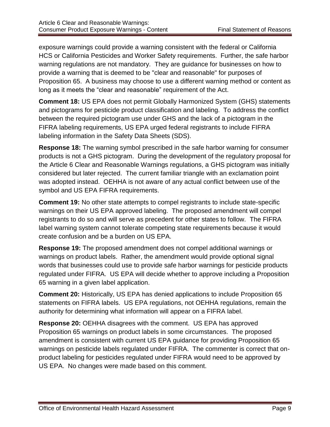exposure warnings could provide a warning consistent with the federal or California HCS or California Pesticides and Worker Safety requirements. Further, the safe harbor warning regulations are not mandatory. They are guidance for businesses on how to provide a warning that is deemed to be "clear and reasonable" for purposes of Proposition 65. A business may choose to use a different warning method or content as long as it meets the "clear and reasonable" requirement of the Act.

**Comment 18:** US EPA does not permit Globally Harmonized System (GHS) statements and pictograms for pesticide product classification and labeling. To address the conflict between the required pictogram use under GHS and the lack of a pictogram in the FIFRA labeling requirements, US EPA urged federal registrants to include FIFRA labeling information in the Safety Data Sheets (SDS).

**Response 18:** The warning symbol prescribed in the safe harbor warning for consumer products is not a GHS pictogram. During the development of the regulatory proposal for the Article 6 Clear and Reasonable Warnings regulations, a GHS pictogram was initially considered but later rejected. The current familiar triangle with an exclamation point was adopted instead. OEHHA is not aware of any actual conflict between use of the symbol and US EPA FIFRA requirements.

**Comment 19:** No other state attempts to compel registrants to include state-specific warnings on their US EPA approved labeling. The proposed amendment will compel registrants to do so and will serve as precedent for other states to follow. The FIFRA label warning system cannot tolerate competing state requirements because it would create confusion and be a burden on US EPA.

**Response 19:** The proposed amendment does not compel additional warnings or warnings on product labels. Rather, the amendment would provide optional signal words that businesses could use to provide safe harbor warnings for pesticide products regulated under FIFRA. US EPA will decide whether to approve including a Proposition 65 warning in a given label application.

**Comment 20:** Historically, US EPA has denied applications to include Proposition 65 statements on FIFRA labels. US EPA regulations, not OEHHA regulations, remain the authority for determining what information will appear on a FIFRA label.

**Response 20:** OEHHA disagrees with the comment. US EPA has approved Proposition 65 warnings on product labels in some circumstances. The proposed amendment is consistent with current US EPA guidance for providing Proposition 65 warnings on pesticide labels regulated under FIFRA. The commenter is correct that onproduct labeling for pesticides regulated under FIFRA would need to be approved by US EPA. No changes were made based on this comment.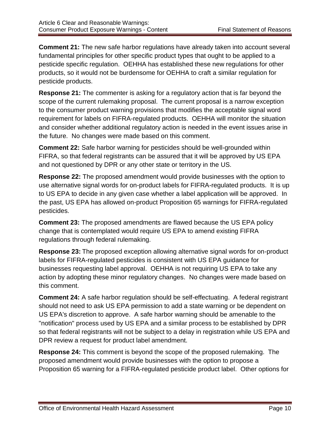**Comment 21:** The new safe harbor regulations have already taken into account several fundamental principles for other specific product types that ought to be applied to a pesticide specific regulation. OEHHA has established these new regulations for other products, so it would not be burdensome for OEHHA to craft a similar regulation for pesticide products.

**Response 21:** The commenter is asking for a regulatory action that is far beyond the scope of the current rulemaking proposal.The current proposal is a narrow exception to the consumer product warning provisions that modifies the acceptable signal word requirement for labels on FIFRA-regulated products. OEHHA will monitor the situation and consider whether additional regulatory action is needed in the event issues arise in the future. No changes were made based on this comment.

**Comment 22:** Safe harbor warning for pesticides should be well-grounded within FIFRA, so that federal registrants can be assured that it will be approved by US EPA and not questioned by DPR or any other state or territory in the US.

**Response 22:** The proposed amendment would provide businesses with the option to use alternative signal words for on-product labels for FIFRA-regulated products. It is up to US EPA to decide in any given case whether a label application will be approved. In the past, US EPA has allowed on-product Proposition 65 warnings for FIFRA-regulated pesticides.

**Comment 23:** The proposed amendments are flawed because the US EPA policy change that is contemplated would require US EPA to amend existing FIFRA regulations through federal rulemaking.

**Response 23:** The proposed exception allowing alternative signal words for on-product labels for FIFRA-regulated pesticides is consistent with US EPA guidance for businesses requesting label approval. OEHHA is not requiring US EPA to take any action by adopting these minor regulatory changes.No changes were made based on this comment.

**Comment 24:** A safe harbor regulation should be self-effectuating. A federal registrant should not need to ask US EPA permission to add a state warning or be dependent on US EPA's discretion to approve. A safe harbor warning should be amenable to the "notification" process used by US EPA and a similar process to be established by DPR so that federal registrants will not be subject to a delay in registration while US EPA and DPR review a request for product label amendment.

**Response 24:** This comment is beyond the scope of the proposed rulemaking.The proposed amendment would provide businesses with the option to propose a Proposition 65 warning for a FIFRA-regulated pesticide product label. Other options for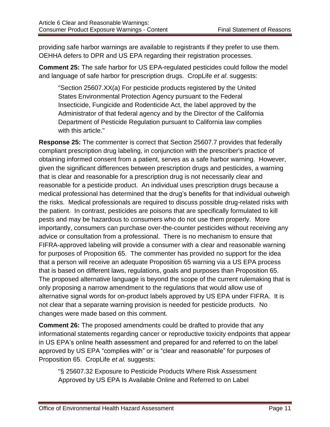providing safe harbor warnings are available to registrants if they prefer to use them. OEHHA defers to DPR and US EPA regarding their registration processes.

**Comment 25:** The safe harbor for US EPA-regulated pesticides could follow the model and language of safe harbor for prescription drugs. CropLife *et al*. suggests:

"Section 25607.XX(a) For pesticide products registered by the United States Environmental Protection Agency pursuant to the Federal Insecticide, Fungicide and Rodenticide Act, the label approved by the Administrator of that federal agency and by the Director of the California Department of Pesticide Regulation pursuant to California law complies with this article."

**Response 25:** The commenter is correct that Section 25607.7 provides that federally compliant prescription drug labeling, in conjunction with the prescriber's practice of obtaining informed consent from a patient, serves as a safe harbor warning. However, given the significant differences between prescription drugs and pesticides, a warning that is clear and reasonable for a prescription drug is not necessarily clear and reasonable for a pesticide product. An individual uses prescription drugs because a medical professional has determined that the drug's benefits for that individual outweigh the risks. Medical professionals are required to discuss possible drug-related risks with the patient. In contrast, pesticides are poisons that are specifically formulated to kill pests and may be hazardous to consumers who do not use them properly. More importantly, consumers can purchase over-the-counter pesticides without receiving any advice or consultation from a professional. There is no mechanism to ensure that FIFRA-approved labeling will provide a consumer with a clear and reasonable warning for purposes of Proposition 65. The commenter has provided no support for the idea that a person will receive an adequate Proposition 65 warning via a US EPA process that is based on different laws, regulations, goals and purposes than Proposition 65. The proposed alternative language is beyond the scope of the current rulemaking that is only proposing a narrow amendment to the regulations that would allow use of alternative signal words for on-product labels approved by US EPA under FIFRA. It is not clear that a separate warning provision is needed for pesticide products. No changes were made based on this comment.

**Comment 26:** The proposed amendments could be drafted to provide that any informational statements regarding cancer or reproductive toxicity endpoints that appear in US EPA's online health assessment and prepared for and referred to on the label approved by US EPA "complies with" or is "clear and reasonable" for purposes of Proposition 65. CropLife *et al.* suggests:

"§ 25607.32 Exposure to Pesticide Products Where Risk Assessment Approved by US EPA Is Available Online and Referred to on Label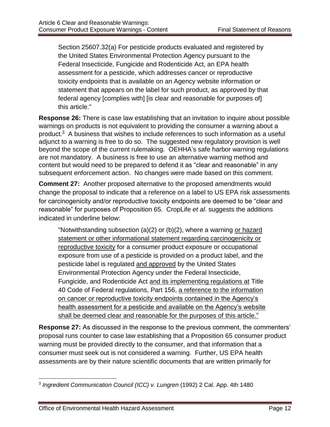Section 25607.32(a) For pesticide products evaluated and registered by the United States Environmental Protection Agency pursuant to the Federal Insecticide, Fungicide and Rodenticide Act, an EPA health assessment for a pesticide, which addresses cancer or reproductive toxicity endpoints that is available on an Agency website information or statement that appears on the label for such product, as approved by that federal agency [complies with] [is clear and reasonable for purposes of] this article."

**Response 26:** There is case law establishing that an invitation to inquire about possible warnings on products is not equivalent to providing the consumer a warning about a product.<sup>3</sup> A business that wishes to include references to such information as a useful adjunct to a warning is free to do so. The suggested new regulatory provision is well beyond the scope of the current rulemaking. OEHHA's safe harbor warning regulations are not mandatory. A business is free to use an alternative warning method and content but would need to be prepared to defend it as "clear and reasonable" in any subsequent enforcement action. No changes were made based on this comment.

**Comment 27:** Another proposed alternative to the proposed amendments would change the proposal to indicate that a reference on a label to US EPA risk assessments for carcinogenicity and/or reproductive toxicity endpoints are deemed to be "clear and reasonable" for purposes of Proposition 65. CropLife *et al.* suggests the additions indicated in underline below:

"Notwithstanding subsection (a)(2) or (b)(2), where a warning or hazard statement or other informational statement regarding carcinogenicity or reproductive toxicity for a consumer product exposure or occupational exposure from use of a pesticide is provided on a product label, and the pesticide label is regulated and approved by the United States Environmental Protection Agency under the Federal Insecticide, Fungicide, and Rodenticide Act and its implementing regulations at Title 40 Code of Federal regulations, Part 156, a reference to the information on cancer or reproductive toxicity endpoints contained in the Agency's health assessment for a pesticide and available on the Agency's website shall be deemed clear and reasonable for the purposes of this article."

**Response 27:** As discussed in the response to the previous comment, the commenters' proposal runs counter to case law establishing that a Proposition 65 consumer product warning must be provided directly to the consumer, and that information that a consumer must seek out is not considered a warning. Further, US EPA health assessments are by their nature scientific documents that are written primarily for

 $\overline{a}$ <sup>3</sup> Ingredient Communication Council (ICC) v. Lungren (1992) 2 Cal. App. 4th 1480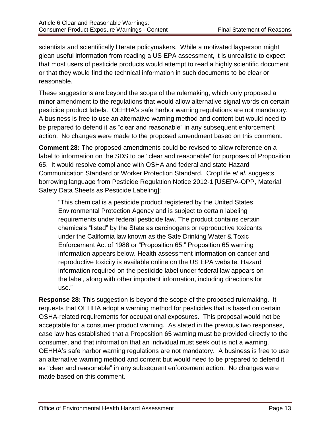scientists and scientifically literate policymakers. While a motivated layperson might glean useful information from reading a US EPA assessment, it is unrealistic to expect that most users of pesticide products would attempt to read a highly scientific document or that they would find the technical information in such documents to be clear or reasonable.

These suggestions are beyond the scope of the rulemaking, which only proposed a minor amendment to the regulations that would allow alternative signal words on certain pesticide product labels. OEHHA's safe harbor warning regulations are not mandatory. A business is free to use an alternative warning method and content but would need to be prepared to defend it as "clear and reasonable" in any subsequent enforcement action. No changes were made to the proposed amendment based on this comment.

**Comment 28:** The proposed amendments could be revised to allow reference on a label to information on the SDS to be "clear and reasonable" for purposes of Proposition 65. It would resolve compliance with OSHA and federal and state Hazard Communication Standard or Worker Protection Standard. CropLife *et al.* suggests borrowing language from Pesticide Regulation Notice 2012-1 [USEPA-OPP, Material Safety Data Sheets as Pesticide Labeling]:

"This chemical is a pesticide product registered by the United States Environmental Protection Agency and is subject to certain labeling requirements under federal pesticide law. The product contains certain chemicals "listed" by the State as carcinogens or reproductive toxicants under the California law known as the Safe Drinking Water & Toxic Enforcement Act of 1986 or "Proposition 65." Proposition 65 warning information appears below. Health assessment information on cancer and reproductive toxicity is available online on the US EPA website. Hazard information required on the pesticide label under federal law appears on the label, along with other important information, including directions for use."

**Response 28:** This suggestion is beyond the scope of the proposed rulemaking. It requests that OEHHA adopt a warning method for pesticides that is based on certain OSHA-related requirements for occupational exposures. This proposal would not be acceptable for a consumer product warning. As stated in the previous two responses, case law has established that a Proposition 65 warning must be provided directly to the consumer, and that information that an individual must seek out is not a warning. OEHHA's safe harbor warning regulations are not mandatory. A business is free to use an alternative warning method and content but would need to be prepared to defend it as "clear and reasonable" in any subsequent enforcement action. No changes were made based on this comment.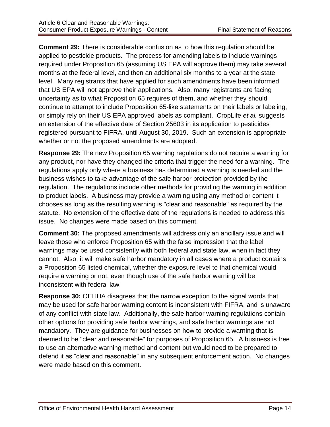**Comment 29:** There is considerable confusion as to how this regulation should be applied to pesticide products. The process for amending labels to include warnings required under Proposition 65 (assuming US EPA will approve them) may take several months at the federal level, and then an additional six months to a year at the state level. Many registrants that have applied for such amendments have been informed that US EPA will not approve their applications. Also, many registrants are facing uncertainty as to what Proposition 65 requires of them, and whether they should continue to attempt to include Proposition 65-like statements on their labels or labeling, or simply rely on their US EPA approved labels as compliant. CropLife *et al.* suggests an extension of the effective date of Section 25603 in its application to pesticides registered pursuant to FIFRA, until August 30, 2019. Such an extension is appropriate whether or not the proposed amendments are adopted.

**Response 29:** The new Proposition 65 warning regulations do not require a warning for any product, nor have they changed the criteria that trigger the need for a warning. The regulations apply only where a business has determined a warning is needed and the business wishes to take advantage of the safe harbor protection provided by the regulation. The regulations include other methods for providing the warning in addition to product labels. A business may provide a warning using any method or content it chooses as long as the resulting warning is "clear and reasonable" as required by the statute. No extension of the effective date of the regulations is needed to address this issue. No changes were made based on this comment.

**Comment 30:** The proposed amendments will address only an ancillary issue and will leave those who enforce Proposition 65 with the false impression that the label warnings may be used consistently with both federal and state law, when in fact they cannot. Also, it will make safe harbor mandatory in all cases where a product contains a Proposition 65 listed chemical, whether the exposure level to that chemical would require a warning or not, even though use of the safe harbor warning will be inconsistent with federal law.

**Response 30:** OEHHA disagrees that the narrow exception to the signal words that may be used for safe harbor warning content is inconsistent with FIFRA, and is unaware of any conflict with state law. Additionally, the safe harbor warning regulations contain other options for providing safe harbor warnings, and safe harbor warnings are not mandatory. They are guidance for businesses on how to provide a warning that is deemed to be "clear and reasonable" for purposes of Proposition 65. A business is free to use an alternative warning method and content but would need to be prepared to defend it as "clear and reasonable" in any subsequent enforcement action. No changes were made based on this comment.